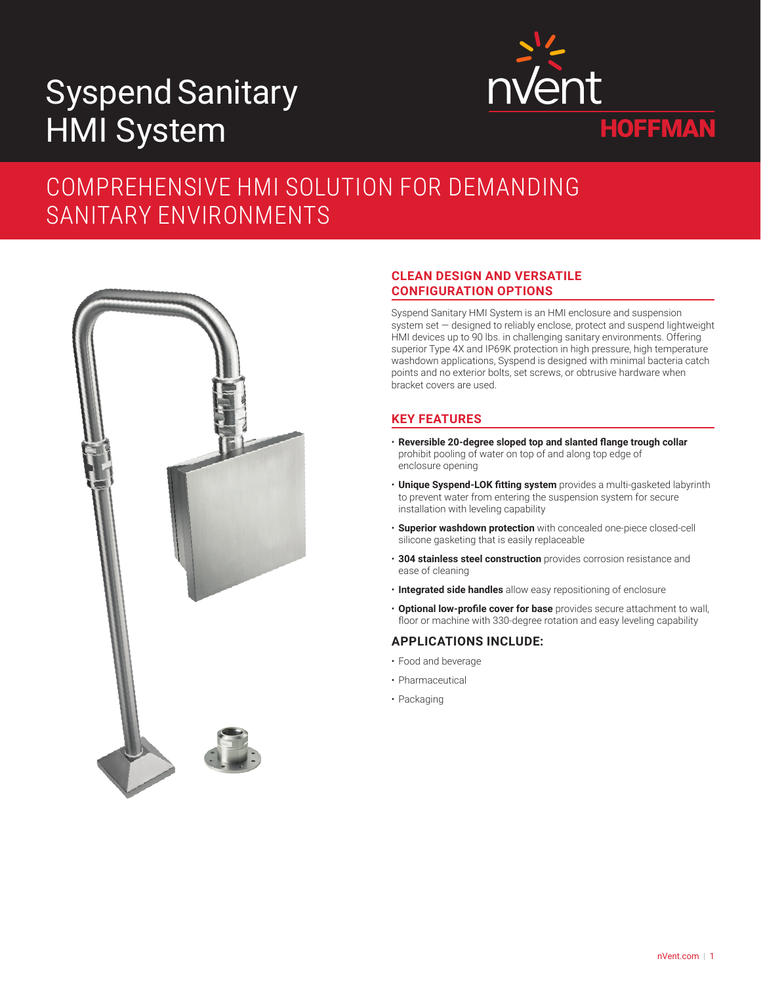# SyspendSanitary HMI System



# COMPREHENSIVE HMI SOLUTION FOR DEMANDING SANITARY ENVIRONMENTS



# **CLEAN DESIGN AND VERSATILE CONFIGURATION OPTIONS**

Syspend Sanitary HMI System is an HMI enclosure and suspension system set — designed to reliably enclose, protect and suspend lightweight HMI devices up to 90 lbs. in challenging sanitary environments. Offering superior Type 4X and IP69K protection in high pressure, high temperature washdown applications, Syspend is designed with minimal bacteria catch points and no exterior bolts, set screws, or obtrusive hardware when bracket covers are used.

# **KEY FEATURES**

- **Reversible 20-degree sloped top and slanted flange trough collar** prohibit pooling of water on top of and along top edge of enclosure opening
- **Unique Syspend-LOK fitting system** provides a multi-gasketed labyrinth to prevent water from entering the suspension system for secure installation with leveling capability
- **Superior washdown protection** with concealed one-piece closed-cell silicone gasketing that is easily replaceable
- **304 stainless steel construction** provides corrosion resistance and ease of cleaning
- **Integrated side handles** allow easy repositioning of enclosure
- **Optional low-profile cover for base** provides secure attachment to wall, floor or machine with 330-degree rotation and easy leveling capability

# **APPLICATIONS INCLUDE:**

- Food and beverage
- Pharmaceutical
- Packaging